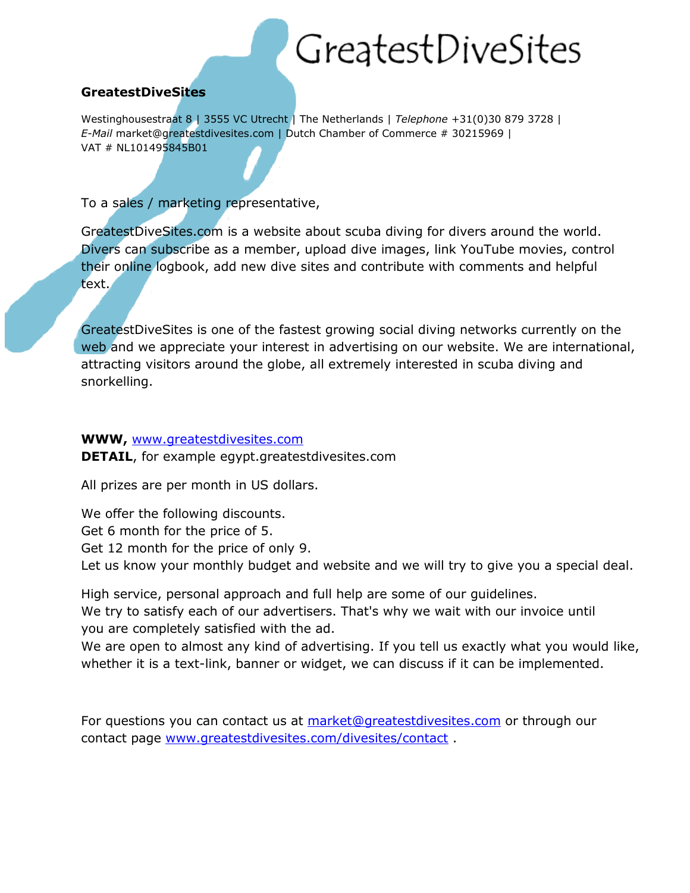## GreatestDiveSites

## **GreatestDiveSites**

Westinghousestraat 8 | 3555 VC Utrecht | The Netherlands | *Telephone* +31(0)30 879 3728 | *E-Mail* market@greatestdivesites.com | Dutch Chamber of Commerce # 30215969 | VAT # NL101495845B01

To a sales / marketing representative,

GreatestDiveSites.com is a website about scuba diving for divers around the world. Divers can subscribe as a member, upload dive images, link YouTube movies, control their online logbook, add new dive sites and contribute with comments and helpful text.

GreatestDiveSites is one of the fastest growing social diving networks currently on the web and we appreciate your interest in advertising on our website. We are international, attracting visitors around the globe, all extremely interested in scuba diving and snorkelling.

## **WWW,** [www.greatestdivesites.com](http://www.greatestdivesites.com/)

**DETAIL**, for example egypt.greatestdivesites.com

All prizes are per month in US dollars.

We offer the following discounts. Get 6 month for the price of 5. Get 12 month for the price of only 9. Let us know your monthly budget and website and we will try to give you a special deal.

High service, personal approach and full help are some of our guidelines.

We try to satisfy each of our advertisers. That's why we wait with our invoice until you are completely satisfied with the ad.

We are open to almost any kind of advertising. If you tell us exactly what you would like, whether it is a text-link, banner or widget, we can discuss if it can be implemented.

For questions you can contact us at [market@greatestdivesites.com](mailto:market@greatestdivesites.com) or through our contact page [www.greatestdivesites.com/divesites/contact](http://www.greatestdivesites.com/divesites/contact) .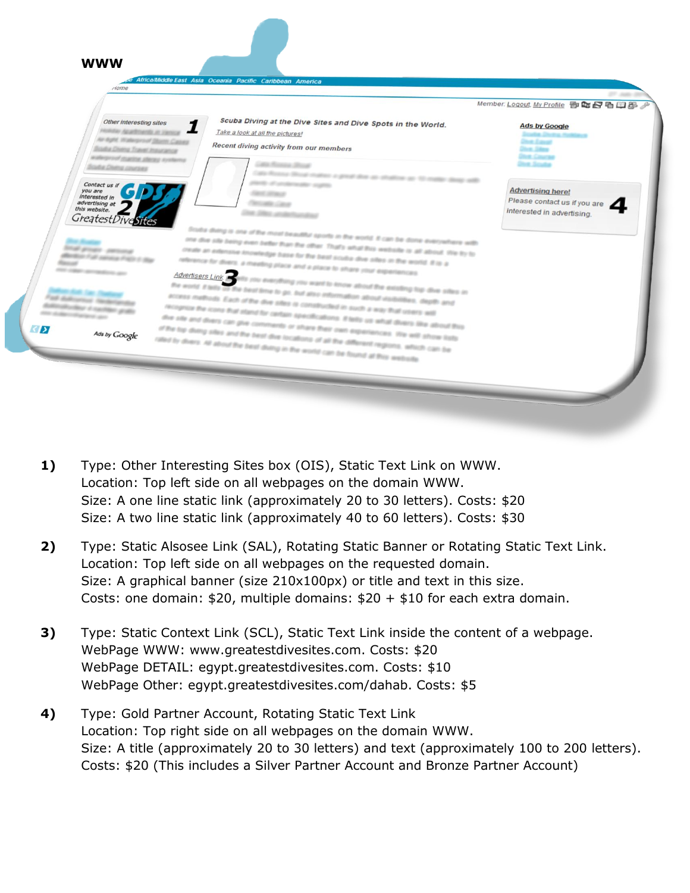|                                                                       |                                                                                                                                                                                                                                                                                    | 27.000.00<br>Member: Logout, My Profile 香皂日日母多             |
|-----------------------------------------------------------------------|------------------------------------------------------------------------------------------------------------------------------------------------------------------------------------------------------------------------------------------------------------------------------------|------------------------------------------------------------|
| Other interesting sites<br>Notidar Apartments in Januar               | Scuba Diving at the Dive Sites and Dive Spots in the World.<br>Take a look at all the pictures!                                                                                                                                                                                    | <b>Ads by Google</b>                                       |
| Air dight, Walesproof Statts Cases<br>Scultur Diving Travel Insurance | Recent diving activity from our members                                                                                                                                                                                                                                            | <b>Division Enterprise</b><br><b>Jirk Siles</b>            |
| waterproof machine allergy systems<br>Sculture Chemic conversion      | Lake Mossive Driver                                                                                                                                                                                                                                                                | <b>Charles Company</b><br><b>Division Systems</b>          |
|                                                                       | Cata Roosse diksut mateus a great don as situation as 10 mailer desig with                                                                                                                                                                                                         |                                                            |
| Contact us If<br>you are<br>interested in                             | plants of products and support<br><b>CALL STATE</b>                                                                                                                                                                                                                                | <b>Advertising here!</b>                                   |
| advertising at<br>this website.                                       | The art care                                                                                                                                                                                                                                                                       | Please contact us if you are<br>interested in advertising. |
| GreatestDivesites                                                     | The Office and the deal                                                                                                                                                                                                                                                            |                                                            |
|                                                                       | Scular diving is one of the most beautiful oports in the world. It can be done everywhere with                                                                                                                                                                                     |                                                            |
| <b>Stuff prover century</b>                                           | one due site being even befor than the other. That's what this website is all about. You by to                                                                                                                                                                                     |                                                            |
| allowed Full service Frain 1                                          | create an extensive incrededipe base for the best sculps dive sites in the world. If is a<br>reference for divers. a meeting place and a place to share your experiences                                                                                                           |                                                            |
| and color proposition and                                             | Advertisers Link <b>Policy and Contract Contract in Institute of the Contract Order of the Contract Order of the Contract Order of the Contract Order of the Contract Order of the Contract Order of the Contract Order of the C</b>                                               |                                                            |
| <b>Built Lake</b>                                                     | the world. If tests on the best line to go. but also information about visibilities, depth and                                                                                                                                                                                     |                                                            |
| For definition factorizing<br>dealers allowing at marketing group     | access methods. Each of the dive sites is constructed in such a way that users will                                                                                                                                                                                                |                                                            |
| and all the contractors are                                           | recognize the icons that stand for certain specifications. If tells us what divers like about this                                                                                                                                                                                 |                                                            |
| Ads by Google                                                         | the site and divers can give comments or share their own experiences. We will show lists<br>of the top diving otes and the best dive locations of all the different regions, which can be<br>rated by divers. All about the best diving in the world can be found at this website. |                                                            |
|                                                                       |                                                                                                                                                                                                                                                                                    |                                                            |

- **1)** Type: Other Interesting Sites box (OIS), Static Text Link on WWW. Location: Top left side on all webpages on the domain WWW. Size: A one line static link (approximately 20 to 30 letters). Costs: \$20 Size: A two line static link (approximately 40 to 60 letters). Costs: \$30
- **2)** Type: Static Alsosee Link (SAL), Rotating Static Banner or Rotating Static Text Link. Location: Top left side on all webpages on the requested domain. Size: A graphical banner (size 210x100px) or title and text in this size. Costs: one domain:  $$20$ , multiple domains:  $$20 + $10$  for each extra domain.
- **3)** Type: Static Context Link (SCL), Static Text Link inside the content of a webpage. WebPage WWW: www.greatestdivesites.com. Costs: \$20 WebPage DETAIL: egypt.greatestdivesites.com. Costs: \$10 WebPage Other: egypt.greatestdivesites.com/dahab. Costs: \$5
- **4)** Type: Gold Partner Account, Rotating Static Text Link Location: Top right side on all webpages on the domain WWW. Size: A title (approximately 20 to 30 letters) and text (approximately 100 to 200 letters). Costs: \$20 (This includes a Silver Partner Account and Bronze Partner Account)